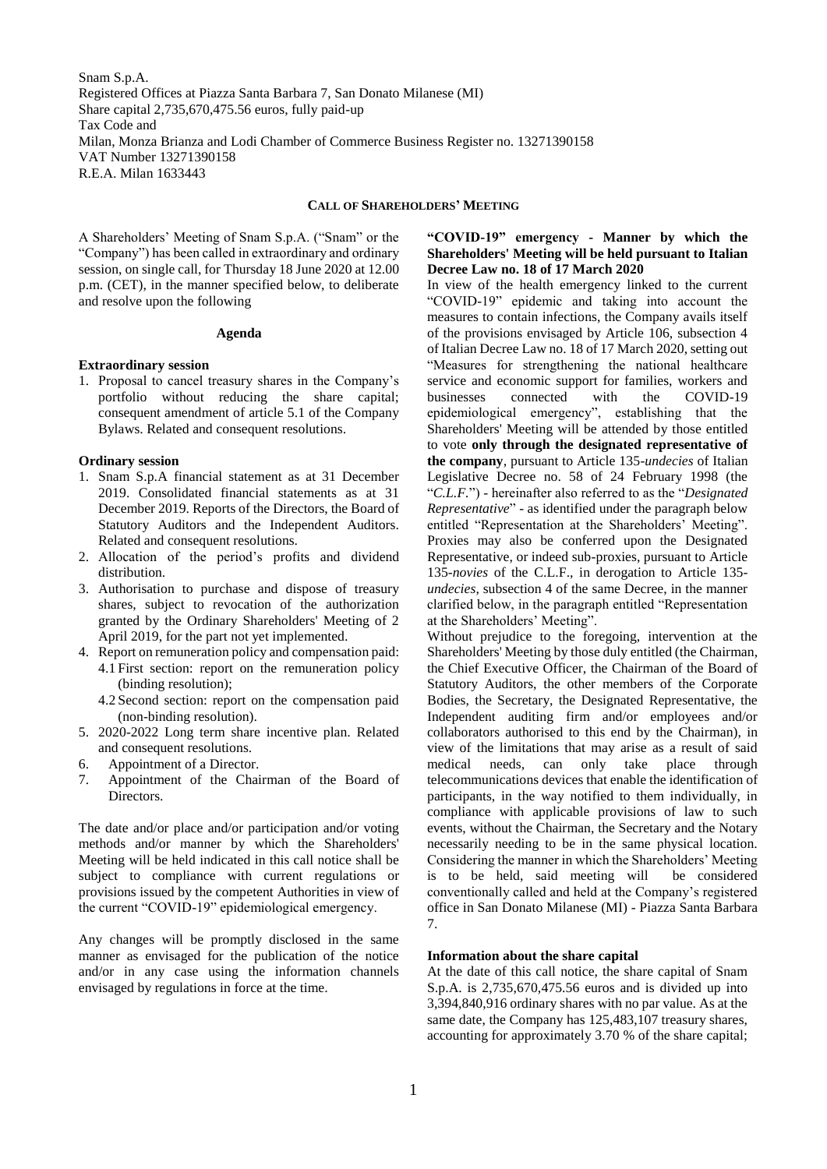Snam S.p.A. Registered Offices at Piazza Santa Barbara 7, San Donato Milanese (MI) Share capital 2,735,670,475.56 euros, fully paid-up Tax Code and Milan, Monza Brianza and Lodi Chamber of Commerce Business Register no. 13271390158 VAT Number 13271390158 R.E.A. Milan 1633443

#### **CALL OF SHAREHOLDERS' MEETING**

A Shareholders' Meeting of Snam S.p.A. ("Snam" or the "Company") has been called in extraordinary and ordinary session, on single call, for Thursday 18 June 2020 at 12.00 p.m. (CET), in the manner specified below, to deliberate and resolve upon the following

#### **Agenda**

#### **Extraordinary session**

1. Proposal to cancel treasury shares in the Company's portfolio without reducing the share capital; consequent amendment of article 5.1 of the Company Bylaws. Related and consequent resolutions.

#### **Ordinary session**

- 1. Snam S.p.A financial statement as at 31 December 2019. Consolidated financial statements as at 31 December 2019. Reports of the Directors, the Board of Statutory Auditors and the Independent Auditors. Related and consequent resolutions.
- 2. Allocation of the period's profits and dividend distribution.
- 3. Authorisation to purchase and dispose of treasury shares, subject to revocation of the authorization granted by the Ordinary Shareholders' Meeting of 2 April 2019, for the part not yet implemented.
- 4. Report on remuneration policy and compensation paid: 4.1 First section: report on the remuneration policy (binding resolution);
	- 4.2 Second section: report on the compensation paid (non-binding resolution).
- 5. 2020-2022 Long term share incentive plan. Related and consequent resolutions.
- 6. Appointment of a Director.
- 7. Appointment of the Chairman of the Board of Directors.

The date and/or place and/or participation and/or voting methods and/or manner by which the Shareholders' Meeting will be held indicated in this call notice shall be subject to compliance with current regulations or provisions issued by the competent Authorities in view of the current "COVID-19" epidemiological emergency.

Any changes will be promptly disclosed in the same manner as envisaged for the publication of the notice and/or in any case using the information channels envisaged by regulations in force at the time.

# **"COVID-19" emergency - Manner by which the Shareholders' Meeting will be held pursuant to Italian Decree Law no. 18 of 17 March 2020**

In view of the health emergency linked to the current "COVID-19" epidemic and taking into account the measures to contain infections, the Company avails itself of the provisions envisaged by Article 106, subsection 4 of Italian Decree Law no. 18 of 17 March 2020, setting out "Measures for strengthening the national healthcare service and economic support for families, workers and businesses connected with the COVID-19 epidemiological emergency", establishing that the Shareholders' Meeting will be attended by those entitled to vote **only through the designated representative of the company**, pursuant to Article 135-*undecies* of Italian Legislative Decree no. 58 of 24 February 1998 (the "*C.L.F.*") - hereinafter also referred to as the "*Designated Representative*" - as identified under the paragraph below entitled "Representation at the Shareholders' Meeting". Proxies may also be conferred upon the Designated Representative, or indeed sub-proxies, pursuant to Article 135-*novies* of the C.L.F., in derogation to Article 135 *undecies*, subsection 4 of the same Decree, in the manner clarified below, in the paragraph entitled "Representation at the Shareholders' Meeting".

Without prejudice to the foregoing, intervention at the Shareholders' Meeting by those duly entitled (the Chairman, the Chief Executive Officer, the Chairman of the Board of Statutory Auditors, the other members of the Corporate Bodies, the Secretary, the Designated Representative, the Independent auditing firm and/or employees and/or collaborators authorised to this end by the Chairman), in view of the limitations that may arise as a result of said medical needs, can only take place through telecommunications devices that enable the identification of participants, in the way notified to them individually, in compliance with applicable provisions of law to such events, without the Chairman, the Secretary and the Notary necessarily needing to be in the same physical location. Considering the manner in which the Shareholders' Meeting is to be held, said meeting will be considered conventionally called and held at the Company's registered office in San Donato Milanese (MI) - Piazza Santa Barbara 7.

## **Information about the share capital**

At the date of this call notice, the share capital of Snam S.p.A. is 2,735,670,475.56 euros and is divided up into 3,394,840,916 ordinary shares with no par value. As at the same date, the Company has 125,483,107 treasury shares, accounting for approximately 3.70 % of the share capital;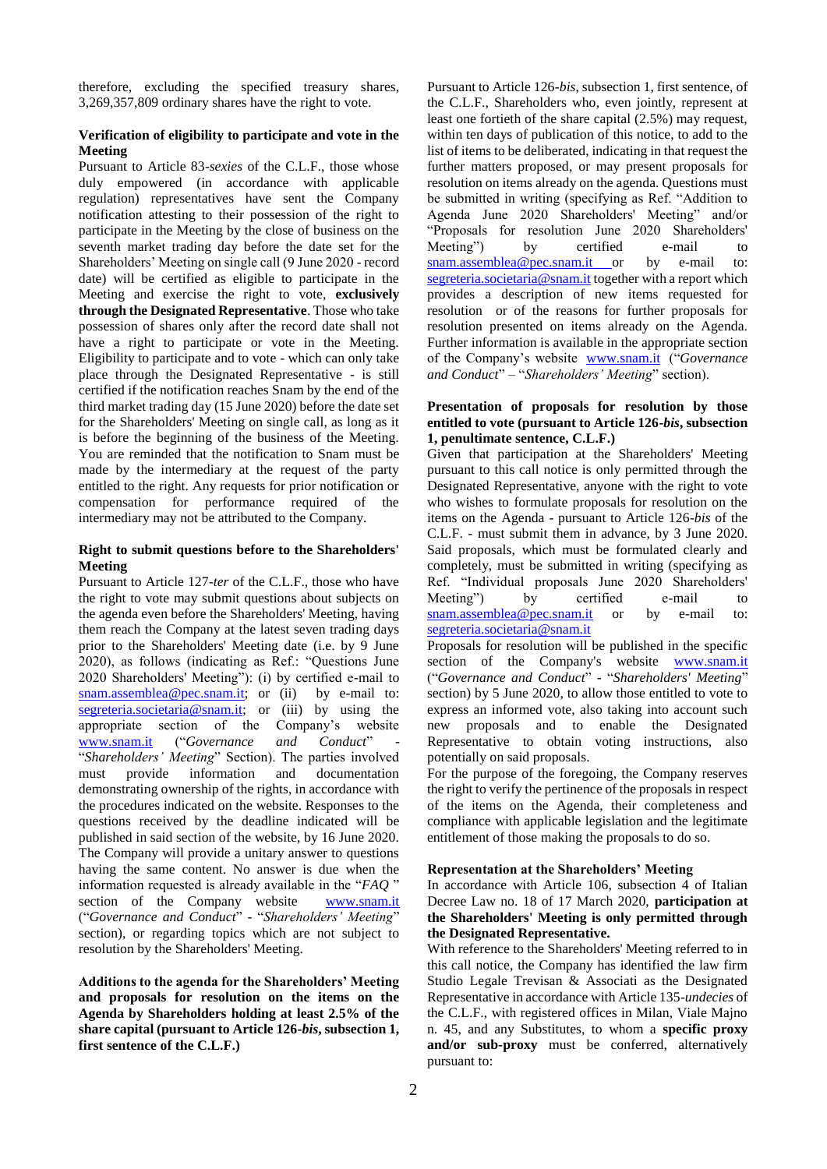therefore, excluding the specified treasury shares, 3,269,357,809 ordinary shares have the right to vote.

## **Verification of eligibility to participate and vote in the Meeting**

Pursuant to Article 83-*sexies* of the C.L.F., those whose duly empowered (in accordance with applicable regulation) representatives have sent the Company notification attesting to their possession of the right to participate in the Meeting by the close of business on the seventh market trading day before the date set for the Shareholders' Meeting on single call (9 June 2020 - record date) will be certified as eligible to participate in the Meeting and exercise the right to vote, **exclusively through the Designated Representative**. Those who take possession of shares only after the record date shall not have a right to participate or vote in the Meeting. Eligibility to participate and to vote - which can only take place through the Designated Representative - is still certified if the notification reaches Snam by the end of the third market trading day (15 June 2020) before the date set for the Shareholders' Meeting on single call, as long as it is before the beginning of the business of the Meeting. You are reminded that the notification to Snam must be made by the intermediary at the request of the party entitled to the right. Any requests for prior notification or compensation for performance required of the intermediary may not be attributed to the Company.

### **Right to submit questions before to the Shareholders' Meeting**

Pursuant to Article 127-*ter* of the C.L.F., those who have the right to vote may submit questions about subjects on the agenda even before the Shareholders' Meeting, having them reach the Company at the latest seven trading days prior to the Shareholders' Meeting date (i.e. by 9 June 2020), as follows (indicating as Ref.: "Questions June 2020 Shareholders' Meeting"): (i) by certified e-mail to [snam.assemblea@pec.snam.it;](mailto:snam.assemblea@pec.snam.it) or (ii) by e-mail to: [segreteria.societaria@snam.it;](mailto:segreteria.societaria@snam.it) or (iii) by using the appropriate section of the Company's website [www.snam.it](http://www.snam.it/) ("Governance and Conduct" "*Shareholders' Meeting*" Section). The parties involved must provide information and documentation demonstrating ownership of the rights, in accordance with the procedures indicated on the website. Responses to the questions received by the deadline indicated will be published in said section of the website, by 16 June 2020. The Company will provide a unitary answer to questions having the same content. No answer is due when the information requested is already available in the "*FAQ* " section of the Company website [www.snam.it](http://www.snam.it/) ("*Governance and Conduct*" - "*Shareholders' Meeting*" section), or regarding topics which are not subject to resolution by the Shareholders' Meeting.

**Additions to the agenda for the Shareholders' Meeting and proposals for resolution on the items on the Agenda by Shareholders holding at least 2.5% of the share capital (pursuant to Article 126-***bis***, subsection 1, first sentence of the C.L.F.)**

Pursuant to Article 126*-bis*, subsection 1, first sentence, of the C.L.F., Shareholders who, even jointly, represent at least one fortieth of the share capital (2.5%) may request, within ten days of publication of this notice, to add to the list of items to be deliberated, indicating in that request the further matters proposed, or may present proposals for resolution on items already on the agenda. Questions must be submitted in writing (specifying as Ref. "Addition to Agenda June 2020 Shareholders' Meeting" and/or "Proposals for resolution June 2020 Shareholders' Meeting") by certified e-mail to [snam.assemblea@pec.snam.it](mailto:snam.assemblea@pec.snam.it) or by e-mail to: [segreteria.societaria@snam.it](mailto:segreteria.societaria@snam.it) together with a report which provides a description of new items requested for resolution or of the reasons for further proposals for resolution presented on items already on the Agenda. Further information is available in the appropriate section of the Company's website [www.snam.it](http://www.snam.it/) ("*Governance and Conduct*" – "*Shareholders' Meeting*" section).

## **Presentation of proposals for resolution by those entitled to vote (pursuant to Article 126-***bis***, subsection 1, penultimate sentence, C.L.F.)**

Given that participation at the Shareholders' Meeting pursuant to this call notice is only permitted through the Designated Representative, anyone with the right to vote who wishes to formulate proposals for resolution on the items on the Agenda - pursuant to Article 126-*bis* of the C.L.F. - must submit them in advance, by 3 June 2020. Said proposals, which must be formulated clearly and completely, must be submitted in writing (specifying as Ref. "Individual proposals June 2020 Shareholders' Meeting") by certified e-mail to [snam.assemblea@pec.snam.it](mailto:snam.assemblea@pec.snam.it) or by e-mail to: [segreteria.societaria@snam.it](mailto:segreteria.societaria@snam.it) 

Proposals for resolution will be published in the specific section of the Company's website [www.snam.it](http://www.snam.it/) ("*Governance and Conduct*" - "*Shareholders' Meeting*" section) by 5 June 2020, to allow those entitled to vote to express an informed vote, also taking into account such new proposals and to enable the Designated Representative to obtain voting instructions, also potentially on said proposals.

For the purpose of the foregoing, the Company reserves the right to verify the pertinence of the proposals in respect of the items on the Agenda, their completeness and compliance with applicable legislation and the legitimate entitlement of those making the proposals to do so.

### **Representation at the Shareholders' Meeting**

In accordance with Article 106, subsection 4 of Italian Decree Law no. 18 of 17 March 2020, **participation at the Shareholders' Meeting is only permitted through the Designated Representative.**

With reference to the Shareholders' Meeting referred to in this call notice, the Company has identified the law firm Studio Legale Trevisan & Associati as the Designated Representative in accordance with Article 135-*undecies* of the C.L.F., with registered offices in Milan, Viale Majno n. 45, and any Substitutes, to whom a **specific proxy and/or sub-proxy** must be conferred, alternatively pursuant to: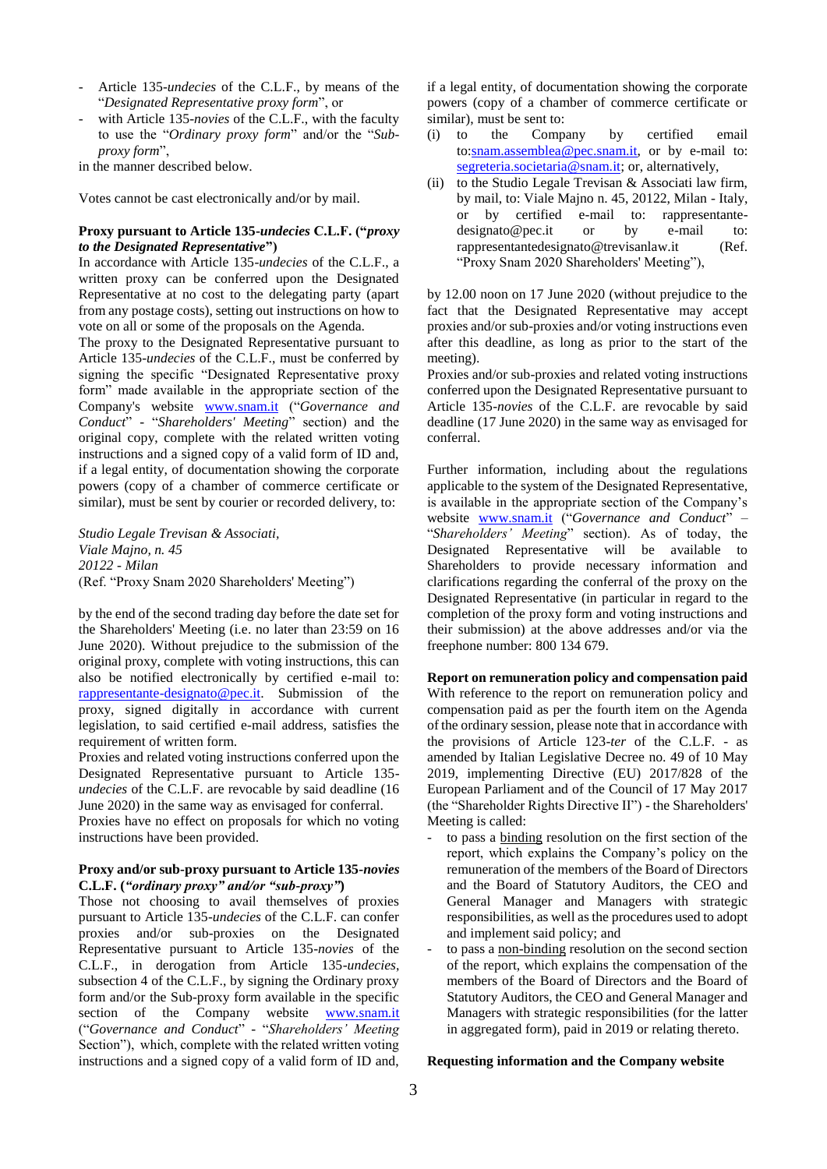- Article 135-*undecies* of the C.L.F., by means of the "*Designated Representative proxy form*", or
- with Article 135-*novies* of the C.L.F., with the faculty to use the "*Ordinary proxy form*" and/or the "*Subproxy form*",

in the manner described below.

Votes cannot be cast electronically and/or by mail.

## **Proxy pursuant to Article 135-***undecies* **C.L.F. ("***proxy to the Designated Representative***")**

In accordance with Article 135-*undecies* of the C.L.F., a written proxy can be conferred upon the Designated Representative at no cost to the delegating party (apart from any postage costs), setting out instructions on how to vote on all or some of the proposals on the Agenda.

The proxy to the Designated Representative pursuant to Article 135-*undecies* of the C.L.F., must be conferred by signing the specific "Designated Representative proxy form" made available in the appropriate section of the Company's website [www.snam.it](http://www.snam.it/) ("*Governance and Conduct*" - "*Shareholders' Meeting*" section) and the original copy, complete with the related written voting instructions and a signed copy of a valid form of ID and, if a legal entity, of documentation showing the corporate powers (copy of a chamber of commerce certificate or similar), must be sent by courier or recorded delivery, to:

*Studio Legale Trevisan & Associati, Viale Majno, n. 45 20122 - Milan* (Ref. "Proxy Snam 2020 Shareholders' Meeting")

by the end of the second trading day before the date set for the Shareholders' Meeting (i.e. no later than 23:59 on 16 June 2020). Without prejudice to the submission of the original proxy, complete with voting instructions, this can also be notified electronically by certified e-mail to: [rappresentante-designato@pec.it.](mailto:rappresentante-designato@pec.it) Submission of the proxy, signed digitally in accordance with current legislation, to said certified e-mail address, satisfies the requirement of written form.

Proxies and related voting instructions conferred upon the Designated Representative pursuant to Article 135 *undecies* of the C.L.F. are revocable by said deadline (16 June 2020) in the same way as envisaged for conferral.

Proxies have no effect on proposals for which no voting instructions have been provided.

## **Proxy and/or sub-proxy pursuant to Article 135-***novies* **C.L.F. (***"ordinary proxy" and/or "sub-proxy"***)**

Those not choosing to avail themselves of proxies pursuant to Article 135-*undecies* of the C.L.F. can confer proxies and/or sub-proxies on the Designated Representative pursuant to Article 135-*novies* of the C.L.F., in derogation from Article 135-*undecies*, subsection 4 of the C.L.F., by signing the Ordinary proxy form and/or the Sub-proxy form available in the specific section of the Company website [www.snam.it](http://www.snam.it/) ("*Governance and Conduct*" - "*Shareholders' Meeting* Section"), which, complete with the related written voting instructions and a signed copy of a valid form of ID and,

if a legal entity, of documentation showing the corporate powers (copy of a chamber of commerce certificate or similar), must be sent to:

- (i) to the Company by certified email to[:snam.assemblea@pec.snam.it,](mailto:snam.assemblea@pec.snam.it) or by e-mail to: [segreteria.societaria@snam.it;](mailto:segreteria.societaria@snam.it) or, alternatively,
- (ii) to the Studio Legale Trevisan  $&$  Associati law firm, by mail, to: Viale Majno n. 45, 20122, Milan - Italy, or by certified e-mail to: rappresentantedesignato@pec.it or by e-mail to: rappresentantedesignato@trevisanlaw.it (Ref. "Proxy Snam 2020 Shareholders' Meeting"),

by 12.00 noon on 17 June 2020 (without prejudice to the fact that the Designated Representative may accept proxies and/or sub-proxies and/or voting instructions even after this deadline, as long as prior to the start of the meeting).

Proxies and/or sub-proxies and related voting instructions conferred upon the Designated Representative pursuant to Article 135-*novies* of the C.L.F. are revocable by said deadline (17 June 2020) in the same way as envisaged for conferral.

Further information, including about the regulations applicable to the system of the Designated Representative, is available in the appropriate section of the Company's website [www.snam.it](http://www.snam.it/) ("*Governance and Conduct*" – "*Shareholders' Meeting*" section). As of today, the Designated Representative will be available to Shareholders to provide necessary information and clarifications regarding the conferral of the proxy on the Designated Representative (in particular in regard to the completion of the proxy form and voting instructions and their submission) at the above addresses and/or via the freephone number: 800 134 679.

## **Report on remuneration policy and compensation paid**  With reference to the report on remuneration policy and compensation paid as per the fourth item on the Agenda of the ordinary session, please note that in accordance with the provisions of Article 123-*ter* of the C.L.F. - as amended by Italian Legislative Decree no. 49 of 10 May 2019, implementing Directive (EU) 2017/828 of the European Parliament and of the Council of 17 May 2017 (the "Shareholder Rights Directive II") - the Shareholders' Meeting is called:

- to pass a binding resolution on the first section of the report, which explains the Company's policy on the remuneration of the members of the Board of Directors and the Board of Statutory Auditors, the CEO and General Manager and Managers with strategic responsibilities, as well as the procedures used to adopt and implement said policy; and
- to pass a non-binding resolution on the second section of the report, which explains the compensation of the members of the Board of Directors and the Board of Statutory Auditors, the CEO and General Manager and Managers with strategic responsibilities (for the latter in aggregated form), paid in 2019 or relating thereto.

#### **Requesting information and the Company website**